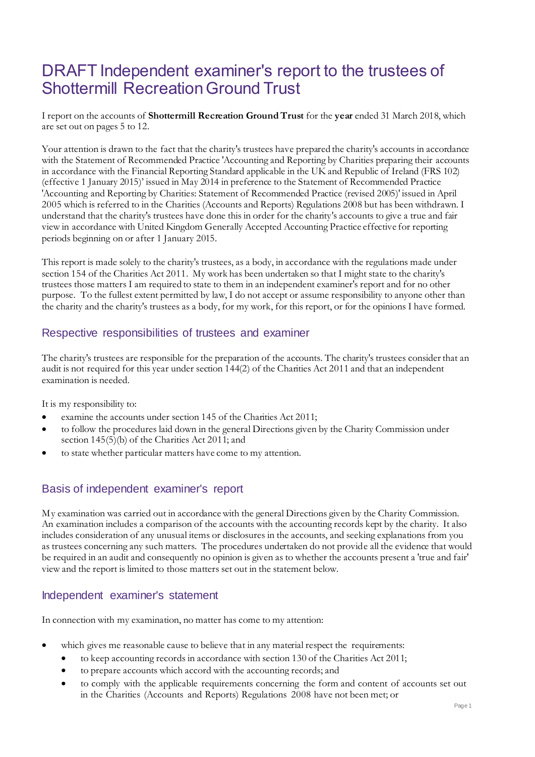## DRAFT Independent examiner's report to the trustees of Shottermill Recreation Ground Trust

I report on the accounts of **Shottermill Recreation Ground Trust** for the **year** ended 31 March 2018, which are set out on pages 5 to 12.

Your attention is drawn to the fact that the charity's trustees have prepared the charity's accounts in accordance with the Statement of Recommended Practice 'Accounting and Reporting by Charities preparing their accounts in accordance with the Financial Reporting Standard applicable in the UK and Republic of Ireland (FRS 102) (effective 1 January 2015)' issued in May 2014 in preference to the Statement of Recommended Practice 'Accounting and Reporting by Charities: Statement of Recommended Practice (revised 2005)' issued in April 2005 which is referred to in the Charities (Accounts and Reports) Regulations 2008 but has been withdrawn. I understand that the charity's trustees have done this in order for the charity's accounts to give a true and fair view in accordance with United Kingdom Generally Accepted Accounting Practice effective for reporting periods beginning on or after 1 January 2015.

This report is made solely to the charity's trustees, as a body, in accordance with the regulations made under section 154 of the Charities Act 2011. My work has been undertaken so that I might state to the charity's trustees those matters I am required to state to them in an independent examiner's report and for no other purpose. To the fullest extent permitted by law, I do not accept or assume responsibility to anyone other than the charity and the charity's trustees as a body, for my work, for this report, or for the opinions I have formed.

## Respective responsibilities of trustees and examiner

The charity's trustees are responsible for the preparation of the accounts. The charity's trustees consider that an audit is not required for this year under section 144(2) of the Charities Act 2011 and that an independent examination is needed.

It is my responsibility to:

- examine the accounts under section 145 of the Charities Act 2011;
- to follow the procedures laid down in the general Directions given by the Charity Commission under section 145(5)(b) of the Charities Act 2011; and
- to state whether particular matters have come to my attention.

## Basis of independent examiner's report

My examination was carried out in accordance with the general Directions given by the Charity Commission. An examination includes a comparison of the accounts with the accounting records kept by the charity. It also includes consideration of any unusual items or disclosures in the accounts, and seeking explanations from you as trustees concerning any such matters. The procedures undertaken do not provide all the evidence that would be required in an audit and consequently no opinion is given as to whether the accounts present a 'true and fair' view and the report is limited to those matters set out in the statement below.

## Independent examiner's statement

In connection with my examination, no matter has come to my attention:

- which gives me reasonable cause to believe that in any material respect the requirements:
	- to keep accounting records in accordance with section 130 of the Charities Act 2011;
	- to prepare accounts which accord with the accounting records; and
	- to comply with the applicable requirements concerning the form and content of accounts set out in the Charities (Accounts and Reports) Regulations 2008 have not been met; or